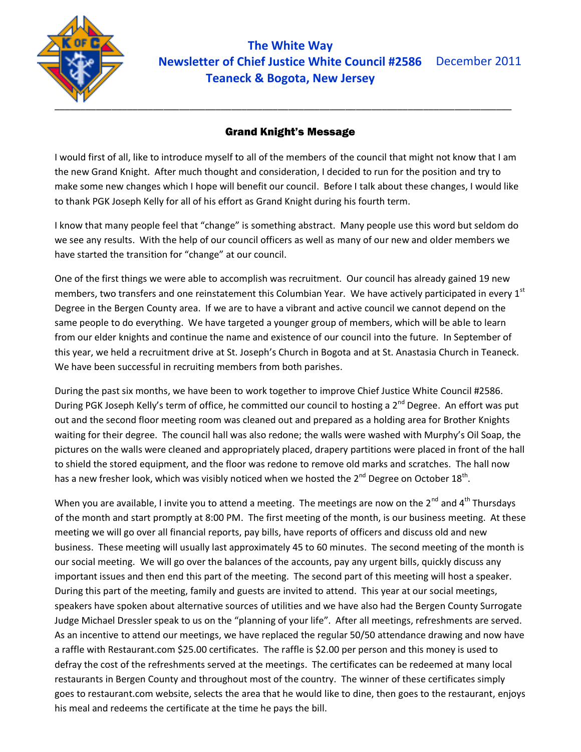

**The White Way Newsletter of Chief Justice White Council #2586** December 2011 **Teaneck & Bogota, New Jersey**

#### Grand Knight's Message

I would first of all, like to introduce myself to all of the members of the council that might not know that I am the new Grand Knight. After much thought and consideration, I decided to run for the position and try to make some new changes which I hope will benefit our council. Before I talk about these changes, I would like to thank PGK Joseph Kelly for all of his effort as Grand Knight during his fourth term.

I know that many people feel that "change" is something abstract. Many people use this word but seldom do we see any results. With the help of our council officers as well as many of our new and older members we have started the transition for "change" at our council.

One of the first things we were able to accomplish was recruitment. Our council has already gained 19 new members, two transfers and one reinstatement this Columbian Year. We have actively participated in every 1<sup>st</sup> Degree in the Bergen County area. If we are to have a vibrant and active council we cannot depend on the same people to do everything. We have targeted a younger group of members, which will be able to learn from our elder knights and continue the name and existence of our council into the future. In September of this year, we held a recruitment drive at St. Joseph's Church in Bogota and at St. Anastasia Church in Teaneck. We have been successful in recruiting members from both parishes.

During the past six months, we have been to work together to improve Chief Justice White Council #2586. During PGK Joseph Kelly's term of office, he committed our council to hosting a 2<sup>nd</sup> Degree. An effort was put out and the second floor meeting room was cleaned out and prepared as a holding area for Brother Knights waiting for their degree. The council hall was also redone; the walls were washed with Murphy's Oil Soap, the pictures on the walls were cleaned and appropriately placed, drapery partitions were placed in front of the hall to shield the stored equipment, and the floor was redone to remove old marks and scratches. The hall now has a new fresher look, which was visibly noticed when we hosted the 2<sup>nd</sup> Degree on October 18<sup>th</sup>.

When you are available, I invite you to attend a meeting. The meetings are now on the  $2^{nd}$  and  $4^{th}$  Thursdavs of the month and start promptly at 8:00 PM. The first meeting of the month, is our business meeting. At these meeting we will go over all financial reports, pay bills, have reports of officers and discuss old and new business. These meeting will usually last approximately 45 to 60 minutes. The second meeting of the month is our social meeting. We will go over the balances of the accounts, pay any urgent bills, quickly discuss any important issues and then end this part of the meeting. The second part of this meeting will host a speaker. During this part of the meeting, family and guests are invited to attend. This year at our social meetings, speakers have spoken about alternative sources of utilities and we have also had the Bergen County Surrogate Judge Michael Dressler speak to us on the "planning of your life". After all meetings, refreshments are served. As an incentive to attend our meetings, we have replaced the regular 50/50 attendance drawing and now have a raffle with Restaurant.com \$25.00 certificates. The raffle is \$2.00 per person and this money is used to defray the cost of the refreshments served at the meetings. The certificates can be redeemed at many local restaurants in Bergen County and throughout most of the country. The winner of these certificates simply goes to restaurant.com website, selects the area that he would like to dine, then goes to the restaurant, enjoys his meal and redeems the certificate at the time he pays the bill.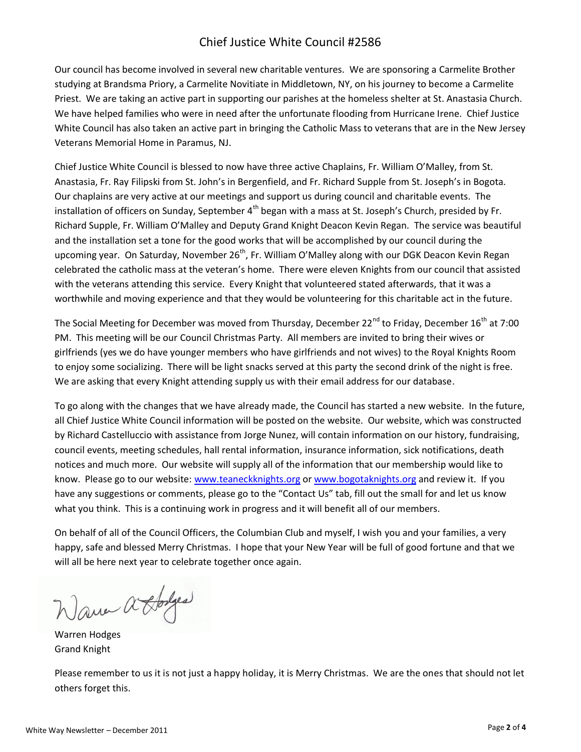#### Chief Justice White Council #2586

Our council has become involved in several new charitable ventures. We are sponsoring a Carmelite Brother studying at Brandsma Priory, a Carmelite Novitiate in Middletown, NY, on his journey to become a Carmelite Priest. We are taking an active part in supporting our parishes at the homeless shelter at St. Anastasia Church. We have helped families who were in need after the unfortunate flooding from Hurricane Irene. Chief Justice White Council has also taken an active part in bringing the Catholic Mass to veterans that are in the New Jersey Veterans Memorial Home in Paramus, NJ.

Chief Justice White Council is blessed to now have three active Chaplains, Fr. William O'Malley, from St. Anastasia, Fr. Ray Filipski from St. John's in Bergenfield, and Fr. Richard Supple from St. Joseph's in Bogota. Our chaplains are very active at our meetings and support us during council and charitable events. The installation of officers on Sunday, September 4<sup>th</sup> began with a mass at St. Joseph's Church, presided by Fr. Richard Supple, Fr. William O'Malley and Deputy Grand Knight Deacon Kevin Regan. The service was beautiful and the installation set a tone for the good works that will be accomplished by our council during the upcoming year. On Saturday, November  $26<sup>th</sup>$ , Fr. William O'Malley along with our DGK Deacon Kevin Regan celebrated the catholic mass at the veteran's home. There were eleven Knights from our council that assisted with the veterans attending this service. Every Knight that volunteered stated afterwards, that it was a worthwhile and moving experience and that they would be volunteering for this charitable act in the future.

The Social Meeting for December was moved from Thursday, December 22<sup>nd</sup> to Friday, December 16<sup>th</sup> at 7:00 PM. This meeting will be our Council Christmas Party. All members are invited to bring their wives or girlfriends (yes we do have younger members who have girlfriends and not wives) to the Royal Knights Room to enjoy some socializing. There will be light snacks served at this party the second drink of the night is free. We are asking that every Knight attending supply us with their email address for our database.

To go along with the changes that we have already made, the Council has started a new website. In the future, all Chief Justice White Council information will be posted on the website. Our website, which was constructed by Richard Castelluccio with assistance from Jorge Nunez, will contain information on our history, fundraising, council events, meeting schedules, hall rental information, insurance information, sick notifications, death notices and much more. Our website will supply all of the information that our membership would like to know. Please go to our website: [www.teaneckknights.org](http://www.teaneckknights.org/) or [www.bogotaknights.org](http://www.bogotaknights.org/) and review it. If you have any suggestions or comments, please go to the "Contact Us" tab, fill out the small for and let us know what you think. This is a continuing work in progress and it will benefit all of our members.

On behalf of all of the Council Officers, the Columbian Club and myself, I wish you and your families, a very happy, safe and blessed Merry Christmas. I hope that your New Year will be full of good fortune and that we will all be here next year to celebrate together once again.

Wave a Sodges

Warren Hodges Grand Knight

Please remember to us it is not just a happy holiday, it is Merry Christmas. We are the ones that should not let others forget this.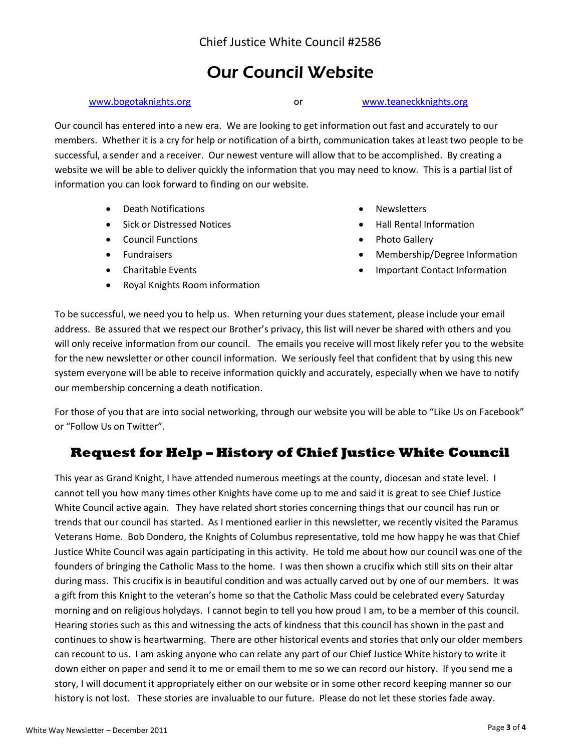## Our Council Website

[www.bogotaknights.org](http://www.bogotaknights.org/) or [www.teaneckknights.org](http://www.teaneckknights.org/)

Our council has entered into a new era. We are looking to get information out fast and accurately to our members. Whether it is a cry for help or notification of a birth, communication takes at least two people to be successful, a sender and a receiver. Our newest venture will allow that to be accomplished. By creating a website we will be able to deliver quickly the information that you may need to know. This is a partial list of information you can look forward to finding on our website.

- Death Notifications
- **•** Sick or Distressed Notices
- Council Functions
- **•** Fundraisers
- Charitable Events
- Royal Knights Room information
- Newsletters
- Hall Rental Information
- Photo Gallery
- Membership/Degree Information
- Important Contact Information

To be successful, we need you to help us. When returning your dues statement, please include your email address. Be assured that we respect our Brother's privacy, this list will never be shared with others and you will only receive information from our council. The emails you receive will most likely refer you to the website for the new newsletter or other council information. We seriously feel that confident that by using this new system everyone will be able to receive information quickly and accurately, especially when we have to notify our membership concerning a death notification.

For those of you that are into social networking, through our website you will be able to "Like Us on Facebook" or "Follow Us on Twitter".

### **Request for Help – History of Chief Justice White Council**

This year as Grand Knight, I have attended numerous meetings at the county, diocesan and state level. I cannot tell you how many times other Knights have come up to me and said it is great to see Chief Justice White Council active again. They have related short stories concerning things that our council has run or trends that our council has started. As I mentioned earlier in this newsletter, we recently visited the Paramus Veterans Home. Bob Dondero, the Knights of Columbus representative, told me how happy he was that Chief Justice White Council was again participating in this activity. He told me about how our council was one of the founders of bringing the Catholic Mass to the home. I was then shown a crucifix which still sits on their altar during mass. This crucifix is in beautiful condition and was actually carved out by one of our members. It was a gift from this Knight to the veteran's home so that the Catholic Mass could be celebrated every Saturday morning and on religious holydays. I cannot begin to tell you how proud I am, to be a member of this council. Hearing stories such as this and witnessing the acts of kindness that this council has shown in the past and continues to show is heartwarming. There are other historical events and stories that only our older members can recount to us. I am asking anyone who can relate any part of our Chief Justice White history to write it down either on paper and send it to me or email them to me so we can record our history. If you send me a story, I will document it appropriately either on our website or in some other record keeping manner so our history is not lost. These stories are invaluable to our future. Please do not let these stories fade away.